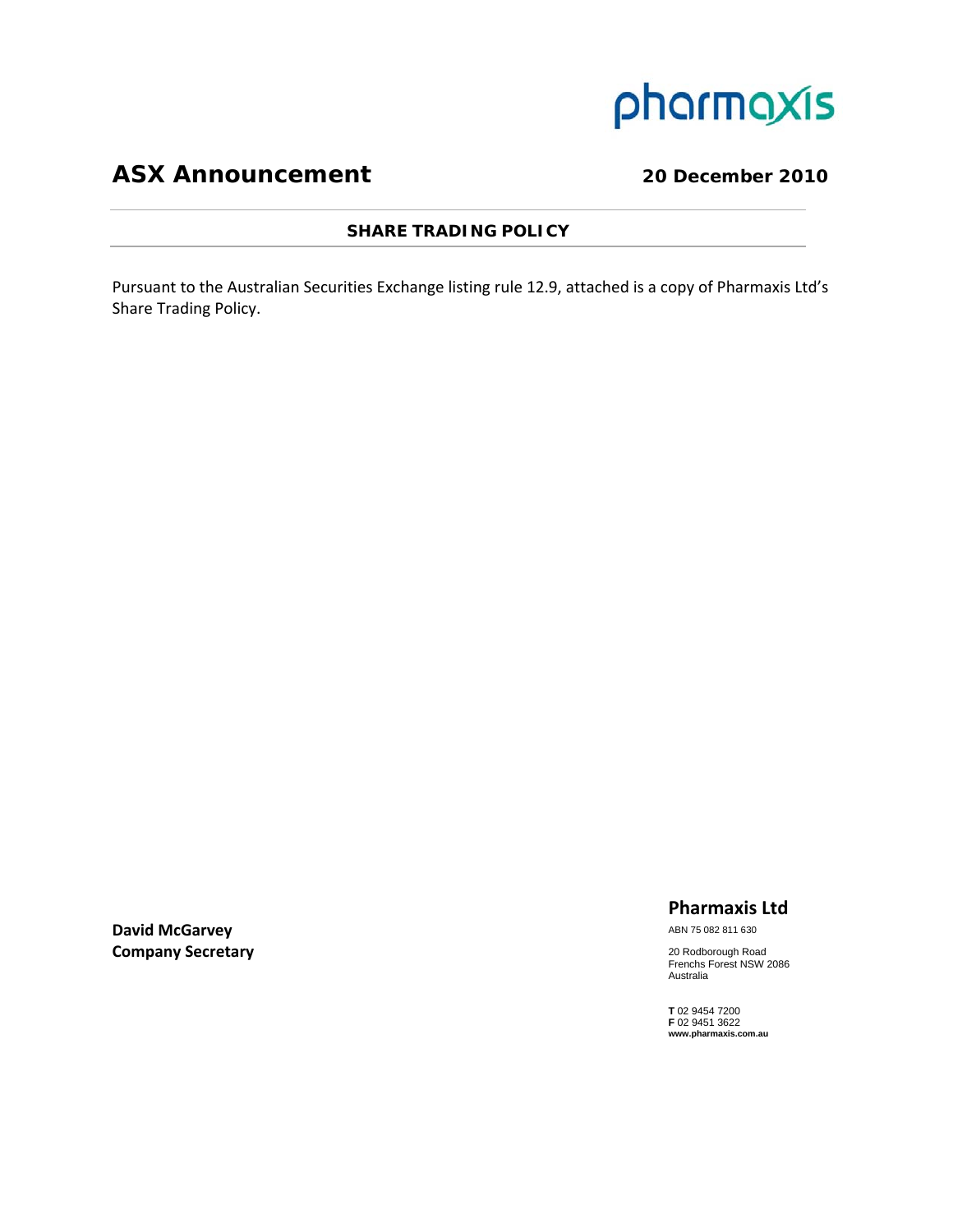

# **ASX Announcement** 20 December 2010

#### **SHARE TRADING POLICY**

Pursuant to the Australian Securities Exchange listing rule 12.9, attached is a copy of Pharmaxis Ltd's Share Trading Policy.

**David McGarvey Company Secretary**

### **Pharmaxis Ltd**

ABN 75 082 811 630

20 Rodborough Road Frenchs Forest NSW 2086 Australia

**T** 02 9454 7200 **F** 02 9451 3622 **www.pharmaxis.com.au**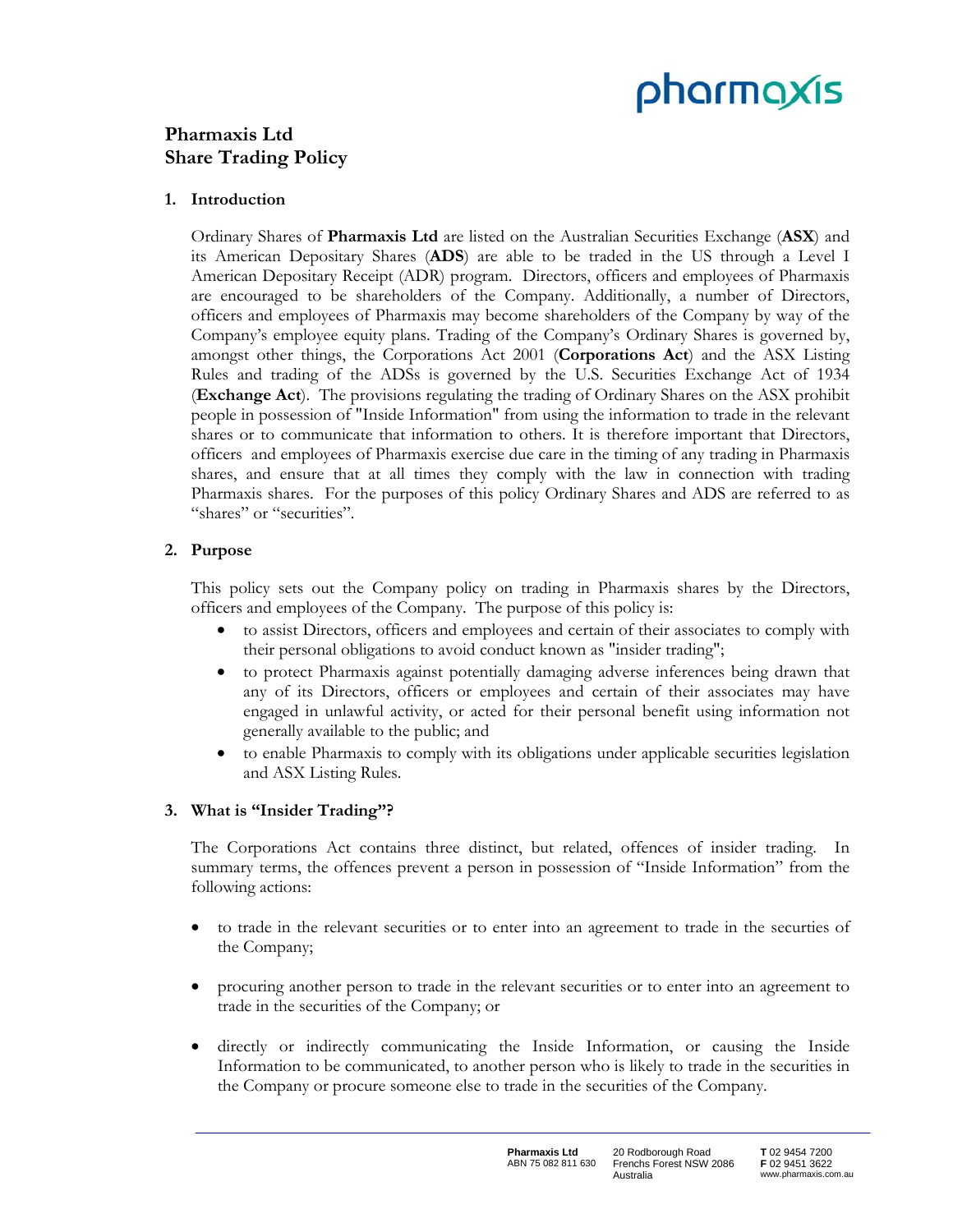# pharmaxis

## **Pharmaxis Ltd Share Trading Policy**

#### **1. Introduction**

Ordinary Shares of **Pharmaxis Ltd** are listed on the Australian Securities Exchange (**ASX**) and its American Depositary Shares (**ADS**) are able to be traded in the US through a Level I American Depositary Receipt (ADR) program. Directors, officers and employees of Pharmaxis are encouraged to be shareholders of the Company. Additionally, a number of Directors, officers and employees of Pharmaxis may become shareholders of the Company by way of the Company's employee equity plans. Trading of the Company's Ordinary Shares is governed by, amongst other things, the Corporations Act 2001 (**Corporations Act**) and the ASX Listing Rules and trading of the ADSs is governed by the U.S. Securities Exchange Act of 1934 (**Exchange Act**). The provisions regulating the trading of Ordinary Shares on the ASX prohibit people in possession of "Inside Information" from using the information to trade in the relevant shares or to communicate that information to others. It is therefore important that Directors, officers and employees of Pharmaxis exercise due care in the timing of any trading in Pharmaxis shares, and ensure that at all times they comply with the law in connection with trading Pharmaxis shares. For the purposes of this policy Ordinary Shares and ADS are referred to as "shares" or "securities".

#### **2. Purpose**

This policy sets out the Company policy on trading in Pharmaxis shares by the Directors, officers and employees of the Company. The purpose of this policy is:

- to assist Directors, officers and employees and certain of their associates to comply with their personal obligations to avoid conduct known as "insider trading";
- to protect Pharmaxis against potentially damaging adverse inferences being drawn that any of its Directors, officers or employees and certain of their associates may have engaged in unlawful activity, or acted for their personal benefit using information not generally available to the public; and
- to enable Pharmaxis to comply with its obligations under applicable securities legislation and ASX Listing Rules.

### **3. What is "Insider Trading"?**

The Corporations Act contains three distinct, but related, offences of insider trading. In summary terms, the offences prevent a person in possession of "Inside Information" from the following actions:

- to trade in the relevant securities or to enter into an agreement to trade in the securties of the Company;
- procuring another person to trade in the relevant securities or to enter into an agreement to trade in the securities of the Company; or
- directly or indirectly communicating the Inside Information, or causing the Inside Information to be communicated, to another person who is likely to trade in the securities in the Company or procure someone else to trade in the securities of the Company.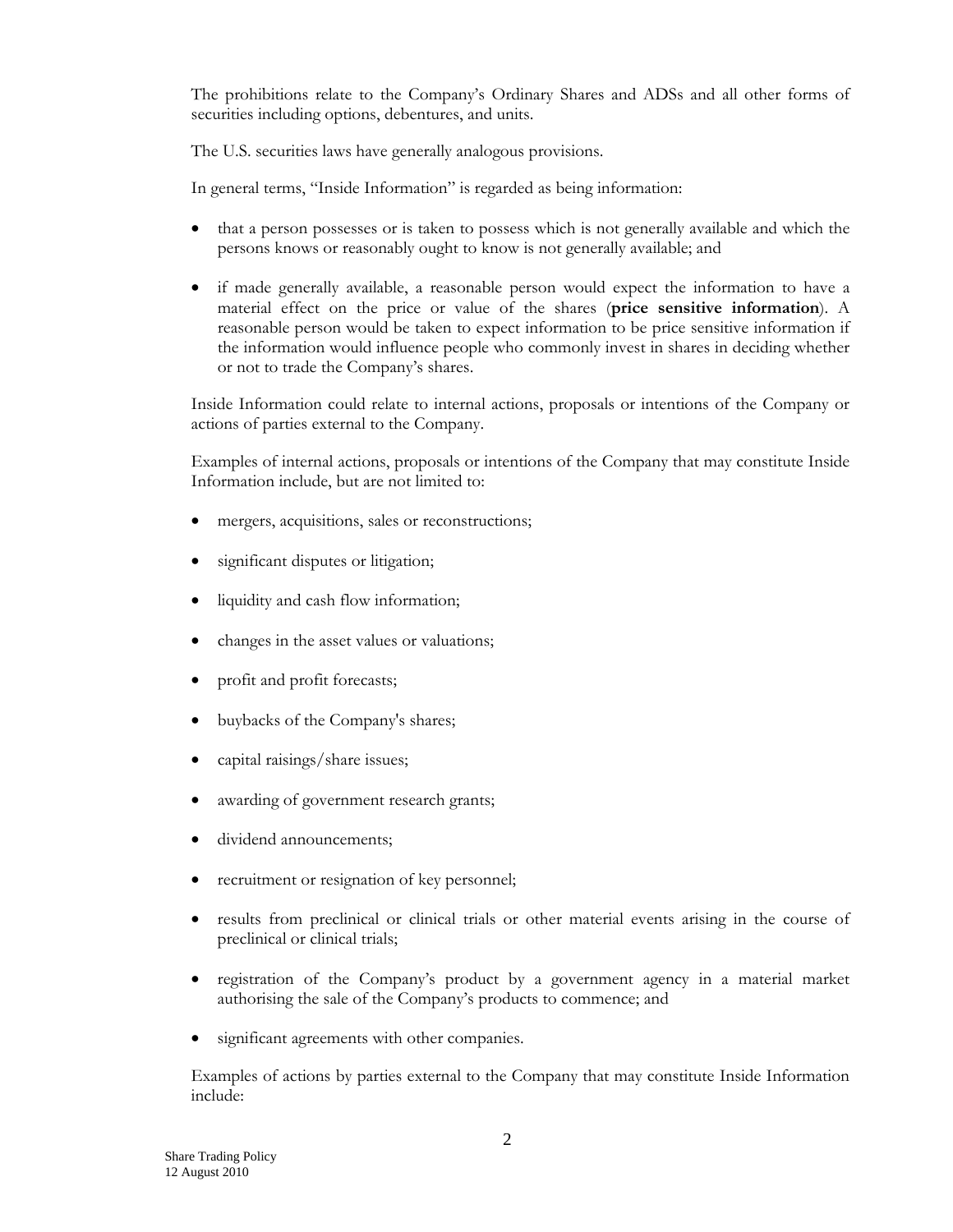The prohibitions relate to the Company's Ordinary Shares and ADSs and all other forms of securities including options, debentures, and units.

The U.S. securities laws have generally analogous provisions.

In general terms, "Inside Information" is regarded as being information:

- that a person possesses or is taken to possess which is not generally available and which the persons knows or reasonably ought to know is not generally available; and
- if made generally available, a reasonable person would expect the information to have a material effect on the price or value of the shares (**price sensitive information**). A reasonable person would be taken to expect information to be price sensitive information if the information would influence people who commonly invest in shares in deciding whether or not to trade the Company's shares.

Inside Information could relate to internal actions, proposals or intentions of the Company or actions of parties external to the Company.

Examples of internal actions, proposals or intentions of the Company that may constitute Inside Information include, but are not limited to:

- mergers, acquisitions, sales or reconstructions;
- significant disputes or litigation;
- liquidity and cash flow information;
- changes in the asset values or valuations;
- profit and profit forecasts;
- buybacks of the Company's shares;
- capital raisings/share issues;
- awarding of government research grants;
- dividend announcements;
- recruitment or resignation of key personnel;
- results from preclinical or clinical trials or other material events arising in the course of preclinical or clinical trials;
- registration of the Company's product by a government agency in a material market authorising the sale of the Company's products to commence; and
- significant agreements with other companies.

Examples of actions by parties external to the Company that may constitute Inside Information include: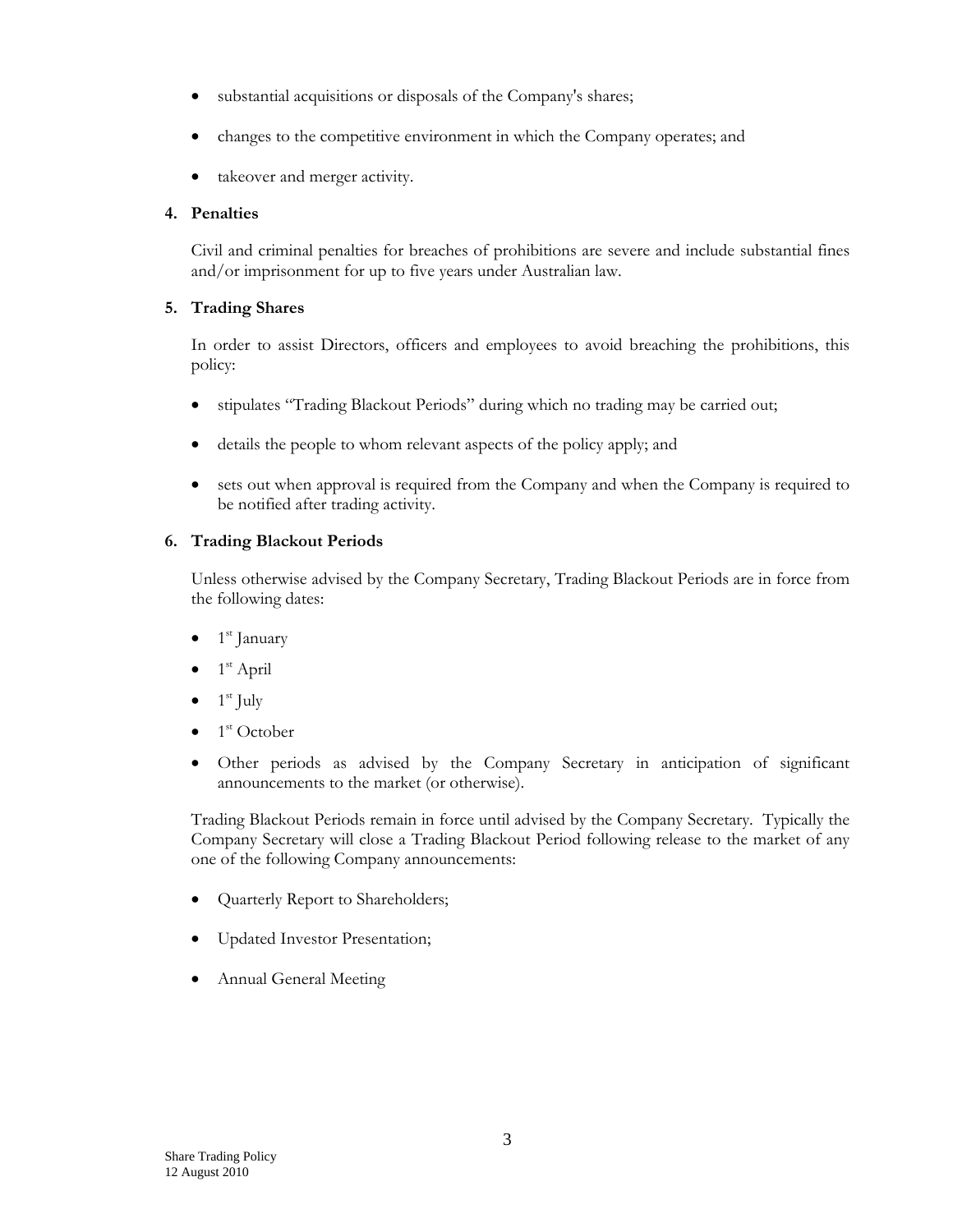- substantial acquisitions or disposals of the Company's shares;
- changes to the competitive environment in which the Company operates; and
- takeover and merger activity.

#### **4. Penalties**

Civil and criminal penalties for breaches of prohibitions are severe and include substantial fines and/or imprisonment for up to five years under Australian law.

#### **5. Trading Shares**

In order to assist Directors, officers and employees to avoid breaching the prohibitions, this policy:

- stipulates "Trading Blackout Periods" during which no trading may be carried out;
- details the people to whom relevant aspects of the policy apply; and
- sets out when approval is required from the Company and when the Company is required to be notified after trading activity.

#### **6. Trading Blackout Periods**

Unless otherwise advised by the Company Secretary, Trading Blackout Periods are in force from the following dates:

- 1<sup>st</sup> January
- 1st April
- $1<sup>st</sup>$  July
- 1<sup>st</sup> October
- Other periods as advised by the Company Secretary in anticipation of significant announcements to the market (or otherwise).

Trading Blackout Periods remain in force until advised by the Company Secretary. Typically the Company Secretary will close a Trading Blackout Period following release to the market of any one of the following Company announcements:

- Quarterly Report to Shareholders;
- Updated Investor Presentation;
- Annual General Meeting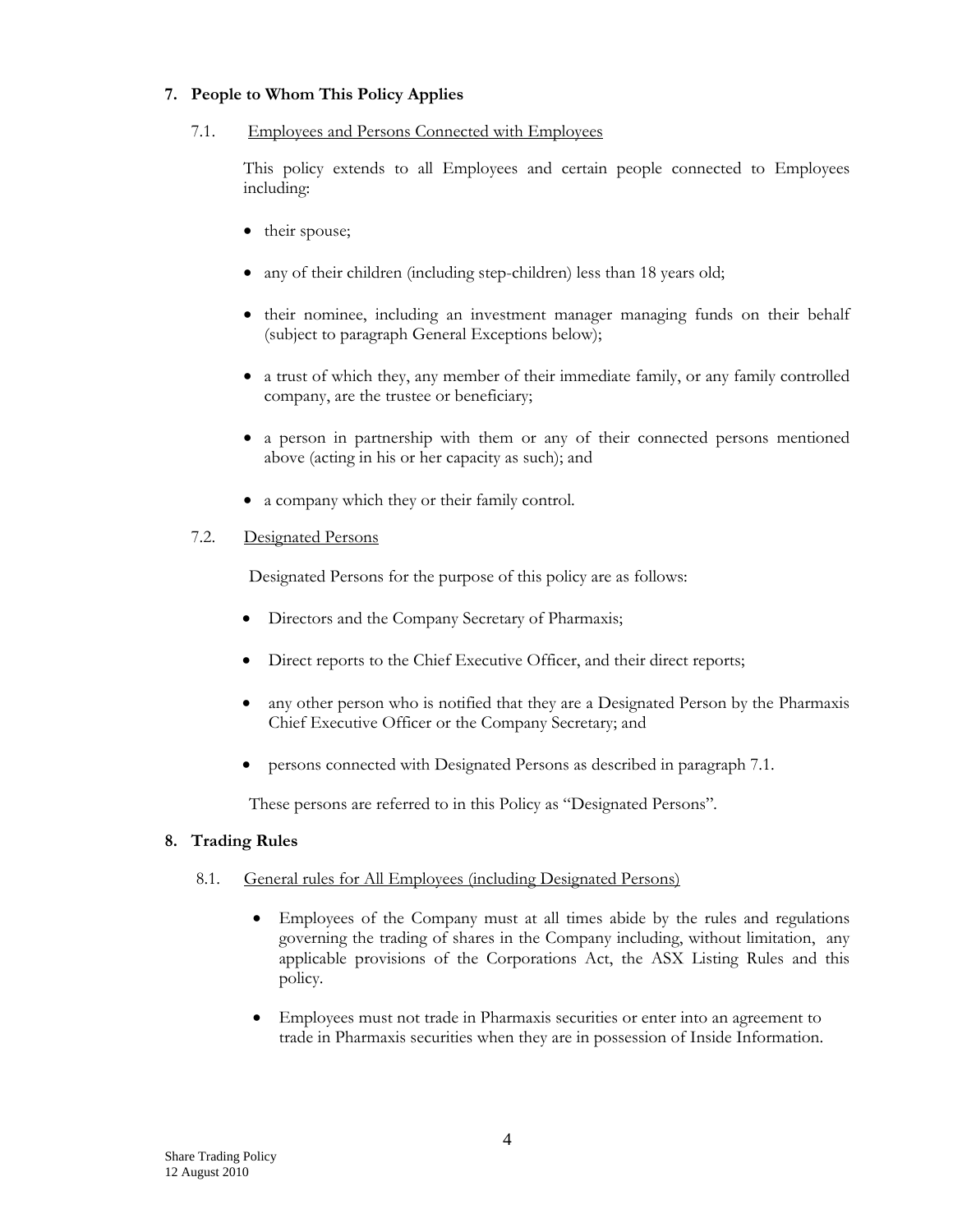#### **7. People to Whom This Policy Applies**

#### 7.1. Employees and Persons Connected with Employees

This policy extends to all Employees and certain people connected to Employees including:

- their spouse;
- any of their children (including step-children) less than 18 years old;
- their nominee, including an investment manager managing funds on their behalf (subject to paragraph General Exceptions below);
- a trust of which they, any member of their immediate family, or any family controlled company, are the trustee or beneficiary;
- a person in partnership with them or any of their connected persons mentioned above (acting in his or her capacity as such); and
- a company which they or their family control.

#### 7.2. Designated Persons

Designated Persons for the purpose of this policy are as follows:

- Directors and the Company Secretary of Pharmaxis;
- Direct reports to the Chief Executive Officer, and their direct reports;
- any other person who is notified that they are a Designated Person by the Pharmaxis Chief Executive Officer or the Company Secretary; and
- persons connected with Designated Persons as described in paragraph 7.1.

These persons are referred to in this Policy as "Designated Persons"*.*

#### **8. Trading Rules**

#### 8.1. General rules for All Employees (including Designated Persons)

- Employees of the Company must at all times abide by the rules and regulations governing the trading of shares in the Company including, without limitation, any applicable provisions of the Corporations Act, the ASX Listing Rules and this policy.
- Employees must not trade in Pharmaxis securities or enter into an agreement to trade in Pharmaxis securities when they are in possession of Inside Information.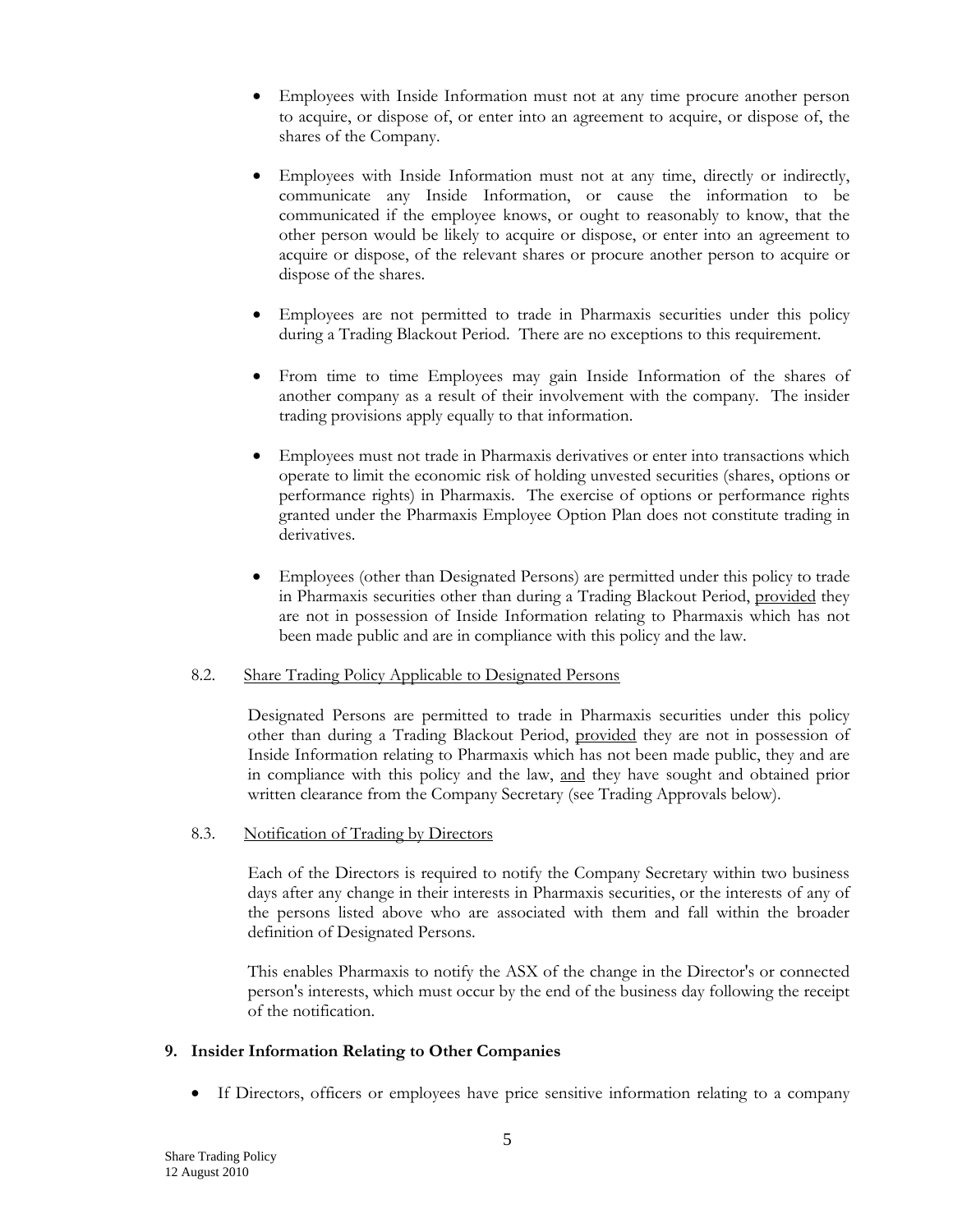- Employees with Inside Information must not at any time procure another person to acquire, or dispose of, or enter into an agreement to acquire, or dispose of, the shares of the Company.
- Employees with Inside Information must not at any time, directly or indirectly, communicate any Inside Information, or cause the information to be communicated if the employee knows, or ought to reasonably to know, that the other person would be likely to acquire or dispose, or enter into an agreement to acquire or dispose, of the relevant shares or procure another person to acquire or dispose of the shares.
- Employees are not permitted to trade in Pharmaxis securities under this policy during a Trading Blackout Period. There are no exceptions to this requirement.
- From time to time Employees may gain Inside Information of the shares of another company as a result of their involvement with the company. The insider trading provisions apply equally to that information.
- Employees must not trade in Pharmaxis derivatives or enter into transactions which operate to limit the economic risk of holding unvested securities (shares, options or performance rights) in Pharmaxis. The exercise of options or performance rights granted under the Pharmaxis Employee Option Plan does not constitute trading in derivatives.
- Employees (other than Designated Persons) are permitted under this policy to trade in Pharmaxis securities other than during a Trading Blackout Period, provided they are not in possession of Inside Information relating to Pharmaxis which has not been made public and are in compliance with this policy and the law.

#### 8.2. Share Trading Policy Applicable to Designated Persons

Designated Persons are permitted to trade in Pharmaxis securities under this policy other than during a Trading Blackout Period, provided they are not in possession of Inside Information relating to Pharmaxis which has not been made public, they and are in compliance with this policy and the law, and they have sought and obtained prior written clearance from the Company Secretary (see Trading Approvals below).

#### 8.3. Notification of Trading by Directors

Each of the Directors is required to notify the Company Secretary within two business days after any change in their interests in Pharmaxis securities, or the interests of any of the persons listed above who are associated with them and fall within the broader definition of Designated Persons.

This enables Pharmaxis to notify the ASX of the change in the Director's or connected person's interests, which must occur by the end of the business day following the receipt of the notification.

#### **9. Insider Information Relating to Other Companies**

If Directors, officers or employees have price sensitive information relating to a company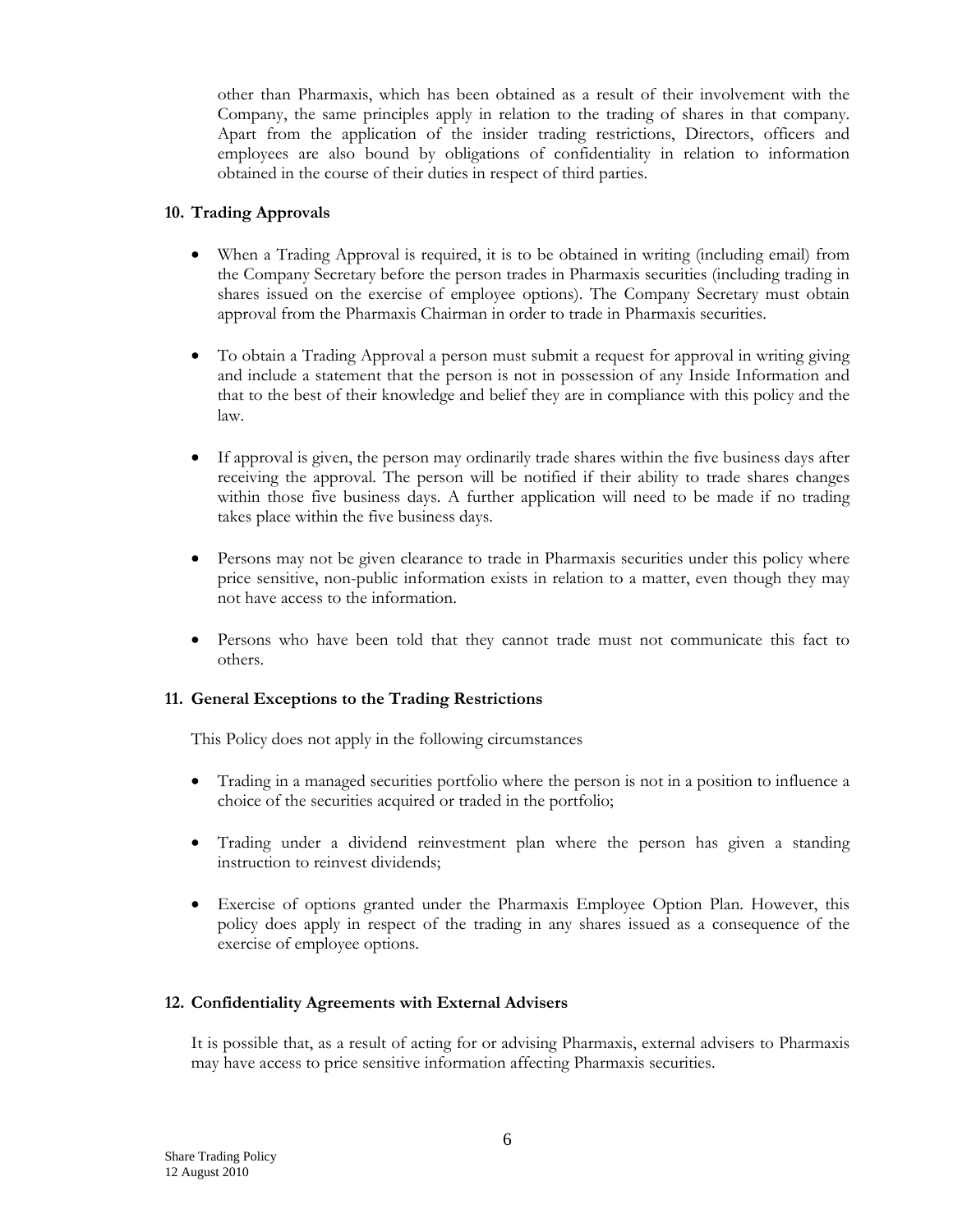other than Pharmaxis, which has been obtained as a result of their involvement with the Company, the same principles apply in relation to the trading of shares in that company. Apart from the application of the insider trading restrictions, Directors, officers and employees are also bound by obligations of confidentiality in relation to information obtained in the course of their duties in respect of third parties.

#### **10. Trading Approvals**

- When a Trading Approval is required, it is to be obtained in writing (including email) from the Company Secretary before the person trades in Pharmaxis securities (including trading in shares issued on the exercise of employee options). The Company Secretary must obtain approval from the Pharmaxis Chairman in order to trade in Pharmaxis securities.
- To obtain a Trading Approval a person must submit a request for approval in writing giving and include a statement that the person is not in possession of any Inside Information and that to the best of their knowledge and belief they are in compliance with this policy and the law.
- If approval is given, the person may ordinarily trade shares within the five business days after receiving the approval. The person will be notified if their ability to trade shares changes within those five business days. A further application will need to be made if no trading takes place within the five business days.
- Persons may not be given clearance to trade in Pharmaxis securities under this policy where price sensitive, non-public information exists in relation to a matter, even though they may not have access to the information.
- Persons who have been told that they cannot trade must not communicate this fact to others.

#### **11. General Exceptions to the Trading Restrictions**

This Policy does not apply in the following circumstances

- Trading in a managed securities portfolio where the person is not in a position to influence a choice of the securities acquired or traded in the portfolio;
- Trading under a dividend reinvestment plan where the person has given a standing instruction to reinvest dividends;
- Exercise of options granted under the Pharmaxis Employee Option Plan. However, this policy does apply in respect of the trading in any shares issued as a consequence of the exercise of employee options.

#### **12. Confidentiality Agreements with External Advisers**

It is possible that, as a result of acting for or advising Pharmaxis, external advisers to Pharmaxis may have access to price sensitive information affecting Pharmaxis securities.